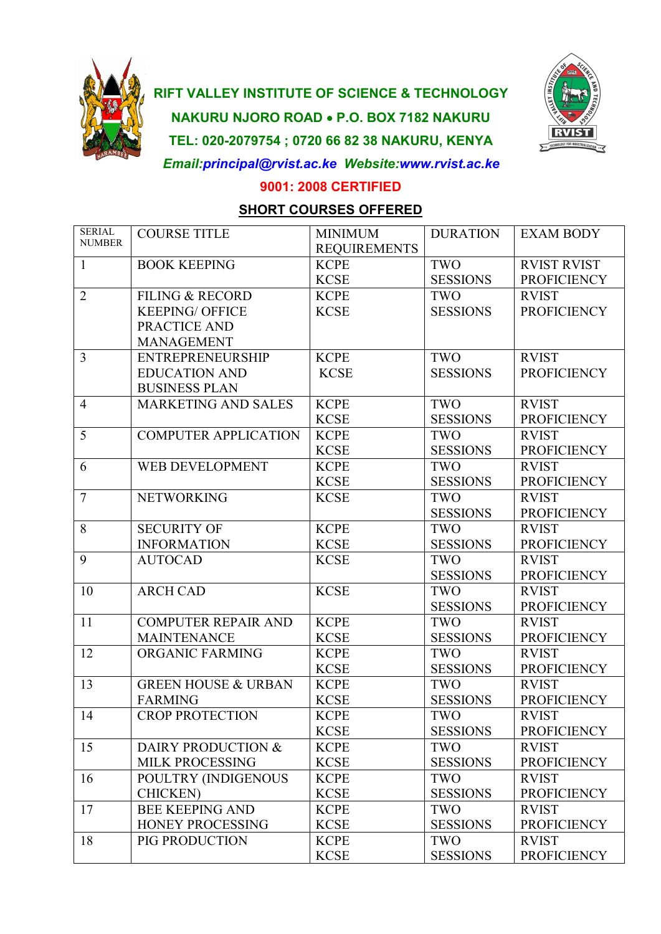

## **RIFT VALLEY INSTITUTE OF SCIENCE & TECHNOLOGY NAKURU NJORO ROAD P.O. BOX 7182 NAKURU TEL: 020-2079754 ; 0720 66 82 38 NAKURU, KENYA** *Email:principal@rvist.ac.ke Website:www.rvist.ac.ke*



**9001: 2008 CERTIFIED**

## **SHORT COURSES OFFERED**

| <b>SERIAL</b><br><b>NUMBER</b> | <b>COURSE TITLE</b>            | <b>MINIMUM</b><br><b>REQUIREMENTS</b> | <b>DURATION</b> | <b>EXAM BODY</b>   |
|--------------------------------|--------------------------------|---------------------------------------|-----------------|--------------------|
| $\mathbf{1}$                   | <b>BOOK KEEPING</b>            | <b>KCPE</b>                           | <b>TWO</b>      | <b>RVIST RVIST</b> |
|                                |                                | <b>KCSE</b>                           | <b>SESSIONS</b> | <b>PROFICIENCY</b> |
| $\overline{2}$                 | <b>FILING &amp; RECORD</b>     | <b>KCPE</b>                           | TWO             | <b>RVIST</b>       |
|                                | <b>KEEPING/ OFFICE</b>         | <b>KCSE</b>                           | <b>SESSIONS</b> | <b>PROFICIENCY</b> |
|                                | PRACTICE AND                   |                                       |                 |                    |
|                                | <b>MANAGEMENT</b>              |                                       |                 |                    |
| 3                              | <b>ENTREPRENEURSHIP</b>        | <b>KCPE</b>                           | TWO             | <b>RVIST</b>       |
|                                | <b>EDUCATION AND</b>           | <b>KCSE</b>                           | <b>SESSIONS</b> | <b>PROFICIENCY</b> |
|                                | <b>BUSINESS PLAN</b>           |                                       |                 |                    |
| $\overline{4}$                 | <b>MARKETING AND SALES</b>     | <b>KCPE</b>                           | TWO             | <b>RVIST</b>       |
|                                |                                | <b>KCSE</b>                           | <b>SESSIONS</b> | <b>PROFICIENCY</b> |
| 5                              | <b>COMPUTER APPLICATION</b>    | <b>KCPE</b>                           | TWO             | <b>RVIST</b>       |
|                                |                                | <b>KCSE</b>                           | <b>SESSIONS</b> | <b>PROFICIENCY</b> |
| 6                              | <b>WEB DEVELOPMENT</b>         | <b>KCPE</b>                           | TWO             | <b>RVIST</b>       |
|                                |                                | <b>KCSE</b>                           | <b>SESSIONS</b> | <b>PROFICIENCY</b> |
| $\tau$                         | <b>NETWORKING</b>              | <b>KCSE</b>                           | TWO             | <b>RVIST</b>       |
|                                |                                |                                       | <b>SESSIONS</b> | <b>PROFICIENCY</b> |
| 8                              | <b>SECURITY OF</b>             | <b>KCPE</b>                           | TWO             | <b>RVIST</b>       |
|                                | <b>INFORMATION</b>             | <b>KCSE</b>                           | <b>SESSIONS</b> | <b>PROFICIENCY</b> |
| 9                              | <b>AUTOCAD</b>                 | <b>KCSE</b>                           | TWO             | <b>RVIST</b>       |
|                                |                                |                                       | <b>SESSIONS</b> | <b>PROFICIENCY</b> |
| 10                             | <b>ARCH CAD</b>                | <b>KCSE</b>                           | TWO             | <b>RVIST</b>       |
|                                |                                |                                       | <b>SESSIONS</b> | <b>PROFICIENCY</b> |
| 11                             | <b>COMPUTER REPAIR AND</b>     | <b>KCPE</b>                           | TWO             | <b>RVIST</b>       |
|                                | <b>MAINTENANCE</b>             | <b>KCSE</b>                           | <b>SESSIONS</b> | <b>PROFICIENCY</b> |
| 12                             |                                | <b>KCPE</b>                           | TWO             | <b>RVIST</b>       |
|                                | ORGANIC FARMING                |                                       |                 |                    |
|                                | <b>GREEN HOUSE &amp; URBAN</b> | <b>KCSE</b>                           | <b>SESSIONS</b> | <b>PROFICIENCY</b> |
| 13                             |                                | <b>KCPE</b>                           | <b>TWO</b>      | <b>RVIST</b>       |
|                                | <b>FARMING</b>                 | <b>KCSE</b>                           | <b>SESSIONS</b> | <b>PROFICIENCY</b> |
| 14                             | <b>CROP PROTECTION</b>         | <b>KCPE</b>                           | TWO             | <b>RVIST</b>       |
|                                |                                | <b>KCSE</b>                           | <b>SESSIONS</b> | <b>PROFICIENCY</b> |
| 15                             | DAIRY PRODUCTION &             | <b>KCPE</b>                           | TWO             | <b>RVIST</b>       |
|                                | MILK PROCESSING                | <b>KCSE</b>                           | <b>SESSIONS</b> | <b>PROFICIENCY</b> |
| 16                             | POULTRY (INDIGENOUS            | <b>KCPE</b>                           | TWO             | <b>RVIST</b>       |
|                                | <b>CHICKEN</b> )               | <b>KCSE</b>                           | <b>SESSIONS</b> | <b>PROFICIENCY</b> |
| 17                             | <b>BEE KEEPING AND</b>         | <b>KCPE</b>                           | TWO             | <b>RVIST</b>       |
|                                | HONEY PROCESSING               | <b>KCSE</b>                           | <b>SESSIONS</b> | <b>PROFICIENCY</b> |
| 18                             | PIG PRODUCTION                 | <b>KCPE</b>                           | TWO             | <b>RVIST</b>       |
|                                |                                | <b>KCSE</b>                           | <b>SESSIONS</b> | <b>PROFICIENCY</b> |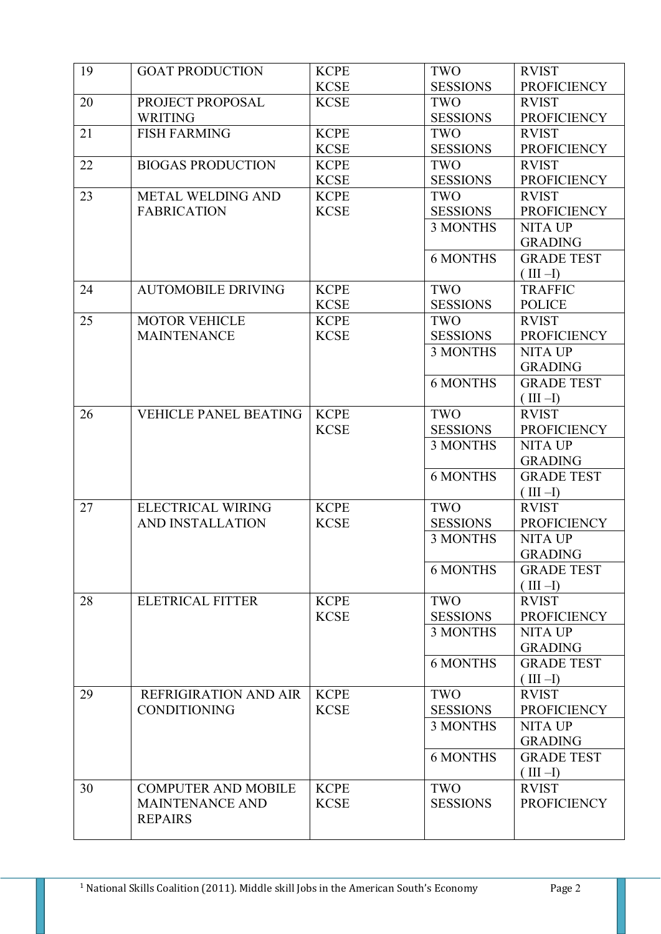| 19 | <b>GOAT PRODUCTION</b>                  | <b>KCPE</b>                | TWO             | <b>RVIST</b>       |
|----|-----------------------------------------|----------------------------|-----------------|--------------------|
|    |                                         | <b>KCSE</b>                | <b>SESSIONS</b> | <b>PROFICIENCY</b> |
| 20 | PROJECT PROPOSAL                        | <b>KCSE</b>                | TWO             | <b>RVIST</b>       |
|    | <b>WRITING</b>                          |                            | <b>SESSIONS</b> | <b>PROFICIENCY</b> |
| 21 | <b>FISH FARMING</b>                     | <b>KCPE</b>                | TWO             | <b>RVIST</b>       |
|    |                                         | <b>KCSE</b>                | <b>SESSIONS</b> | <b>PROFICIENCY</b> |
| 22 | <b>BIOGAS PRODUCTION</b>                | <b>KCPE</b>                | TWO             | <b>RVIST</b>       |
|    |                                         | <b>KCSE</b>                | <b>SESSIONS</b> | <b>PROFICIENCY</b> |
| 23 | METAL WELDING AND<br><b>FABRICATION</b> | <b>KCPE</b><br><b>KCSE</b> | TWO             | <b>RVIST</b>       |
|    |                                         |                            | <b>SESSIONS</b> | <b>PROFICIENCY</b> |
|    |                                         |                            | 3 MONTHS        | <b>NITA UP</b>     |
|    |                                         |                            |                 | <b>GRADING</b>     |
|    |                                         |                            | <b>6 MONTHS</b> | <b>GRADE TEST</b>  |
|    |                                         |                            |                 | $(III -I)$         |
| 24 | <b>AUTOMOBILE DRIVING</b>               | <b>KCPE</b>                | TWO             | <b>TRAFFIC</b>     |
|    |                                         | <b>KCSE</b>                | <b>SESSIONS</b> | <b>POLICE</b>      |
| 25 | <b>MOTOR VEHICLE</b>                    | <b>KCPE</b>                | TWO             | <b>RVIST</b>       |
|    | <b>MAINTENANCE</b>                      | <b>KCSE</b>                | <b>SESSIONS</b> | <b>PROFICIENCY</b> |
|    |                                         |                            | <b>3 MONTHS</b> | <b>NITA UP</b>     |
|    |                                         |                            |                 | <b>GRADING</b>     |
|    |                                         |                            | <b>6 MONTHS</b> | <b>GRADE TEST</b>  |
|    |                                         |                            |                 | $(III -I)$         |
| 26 | <b>VEHICLE PANEL BEATING</b>            | <b>KCPE</b>                | TWO             | <b>RVIST</b>       |
|    |                                         | <b>KCSE</b>                | <b>SESSIONS</b> | <b>PROFICIENCY</b> |
|    |                                         |                            | 3 MONTHS        | <b>NITA UP</b>     |
|    |                                         |                            |                 | <b>GRADING</b>     |
|    |                                         |                            | <b>6 MONTHS</b> | <b>GRADE TEST</b>  |
|    |                                         |                            |                 | $(III -I)$         |
| 27 | <b>ELECTRICAL WIRING</b>                | <b>KCPE</b>                | TWO             | <b>RVIST</b>       |
|    | AND INSTALLATION                        | <b>KCSE</b>                | <b>SESSIONS</b> | <b>PROFICIENCY</b> |
|    |                                         |                            | 3 MONTHS        | <b>NITA UP</b>     |
|    |                                         |                            |                 | <b>GRADING</b>     |
|    |                                         |                            | <b>6 MONTHS</b> | <b>GRADE TEST</b>  |
|    |                                         |                            |                 | $(III -I)$         |
| 28 | <b>ELETRICAL FITTER</b>                 | <b>KCPE</b>                | TWO             | <b>RVIST</b>       |
|    |                                         | <b>KCSE</b>                | <b>SESSIONS</b> | <b>PROFICIENCY</b> |
|    |                                         |                            | 3 MONTHS        | <b>NITA UP</b>     |
|    |                                         |                            |                 | <b>GRADING</b>     |
|    |                                         |                            | <b>6 MONTHS</b> | <b>GRADE TEST</b>  |
|    |                                         |                            |                 | $(III -I)$         |
| 29 | <b>REFRIGIRATION AND AIR</b>            | <b>KCPE</b>                | TWO             | <b>RVIST</b>       |
|    | <b>CONDITIONING</b>                     | <b>KCSE</b>                | <b>SESSIONS</b> | <b>PROFICIENCY</b> |
|    |                                         |                            | 3 MONTHS        | <b>NITA UP</b>     |
|    |                                         |                            |                 | <b>GRADING</b>     |
|    |                                         |                            | <b>6 MONTHS</b> | <b>GRADE TEST</b>  |
|    |                                         |                            |                 | $(III -I)$         |
| 30 | <b>COMPUTER AND MOBILE</b>              | <b>KCPE</b>                | TWO             | <b>RVIST</b>       |
|    | <b>MAINTENANCE AND</b>                  | <b>KCSE</b>                | <b>SESSIONS</b> | <b>PROFICIENCY</b> |
|    | <b>REPAIRS</b>                          |                            |                 |                    |
|    |                                         |                            |                 |                    |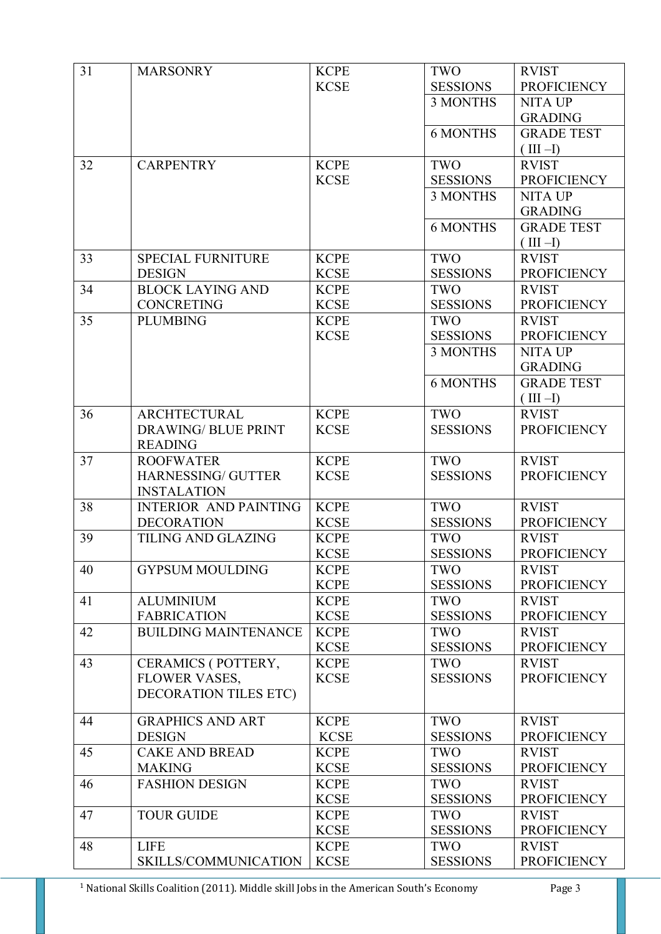| 31 | <b>MARSONRY</b>              | <b>KCPE</b> | TWO             | <b>RVIST</b>       |
|----|------------------------------|-------------|-----------------|--------------------|
|    |                              | <b>KCSE</b> | <b>SESSIONS</b> | <b>PROFICIENCY</b> |
|    |                              |             | <b>3 MONTHS</b> | <b>NITA UP</b>     |
|    |                              |             |                 | <b>GRADING</b>     |
|    |                              |             | <b>6 MONTHS</b> | <b>GRADE TEST</b>  |
|    |                              |             |                 | $(III -I)$         |
| 32 | <b>CARPENTRY</b>             | <b>KCPE</b> | TWO             | <b>RVIST</b>       |
|    |                              | <b>KCSE</b> | <b>SESSIONS</b> | <b>PROFICIENCY</b> |
|    |                              |             | <b>3 MONTHS</b> | <b>NITA UP</b>     |
|    |                              |             |                 | <b>GRADING</b>     |
|    |                              |             | <b>6 MONTHS</b> | <b>GRADE TEST</b>  |
|    |                              |             |                 | $(III -I)$         |
| 33 | <b>SPECIAL FURNITURE</b>     | <b>KCPE</b> | TWO             | <b>RVIST</b>       |
|    | <b>DESIGN</b>                | <b>KCSE</b> | <b>SESSIONS</b> | <b>PROFICIENCY</b> |
| 34 | <b>BLOCK LAYING AND</b>      | <b>KCPE</b> | TWO             | <b>RVIST</b>       |
|    | <b>CONCRETING</b>            | <b>KCSE</b> | <b>SESSIONS</b> | <b>PROFICIENCY</b> |
| 35 | <b>PLUMBING</b>              | <b>KCPE</b> | TWO             | <b>RVIST</b>       |
|    |                              | <b>KCSE</b> | <b>SESSIONS</b> | <b>PROFICIENCY</b> |
|    |                              |             | 3 MONTHS        | <b>NITA UP</b>     |
|    |                              |             |                 | <b>GRADING</b>     |
|    |                              |             | <b>6 MONTHS</b> | <b>GRADE TEST</b>  |
|    |                              |             |                 | $(III -I)$         |
| 36 | <b>ARCHTECTURAL</b>          | <b>KCPE</b> | TWO             | <b>RVIST</b>       |
|    | <b>DRAWING/ BLUE PRINT</b>   | <b>KCSE</b> | <b>SESSIONS</b> | <b>PROFICIENCY</b> |
|    | <b>READING</b>               |             |                 |                    |
| 37 | <b>ROOFWATER</b>             | <b>KCPE</b> | TWO             | <b>RVIST</b>       |
|    | HARNESSING/ GUTTER           | <b>KCSE</b> | <b>SESSIONS</b> | <b>PROFICIENCY</b> |
|    | <b>INSTALATION</b>           |             |                 |                    |
| 38 | <b>INTERIOR AND PAINTING</b> | <b>KCPE</b> | TWO             | <b>RVIST</b>       |
|    | <b>DECORATION</b>            | <b>KCSE</b> | <b>SESSIONS</b> | <b>PROFICIENCY</b> |
| 39 | TILING AND GLAZING           | <b>KCPE</b> | TWO             | <b>RVIST</b>       |
|    |                              | <b>KCSE</b> | <b>SESSIONS</b> | <b>PROFICIENCY</b> |
| 40 | <b>GYPSUM MOULDING</b>       | <b>KCPE</b> | TWO             | <b>RVIST</b>       |
|    |                              | <b>KCPE</b> | <b>SESSIONS</b> | <b>PROFICIENCY</b> |
| 41 | <b>ALUMINIUM</b>             | <b>KCPE</b> | TWO             | <b>RVIST</b>       |
|    | <b>FABRICATION</b>           | <b>KCSE</b> | <b>SESSIONS</b> | <b>PROFICIENCY</b> |
| 42 | <b>BUILDING MAINTENANCE</b>  | <b>KCPE</b> | TWO             | <b>RVIST</b>       |
|    |                              | <b>KCSE</b> | <b>SESSIONS</b> | <b>PROFICIENCY</b> |
| 43 | CERAMICS (POTTERY,           | <b>KCPE</b> | TWO             | <b>RVIST</b>       |
|    | FLOWER VASES,                | <b>KCSE</b> | <b>SESSIONS</b> | <b>PROFICIENCY</b> |
|    | <b>DECORATION TILES ETC)</b> |             |                 |                    |
| 44 | <b>GRAPHICS AND ART</b>      | <b>KCPE</b> | TWO             | <b>RVIST</b>       |
|    | <b>DESIGN</b>                | <b>KCSE</b> | <b>SESSIONS</b> | <b>PROFICIENCY</b> |
| 45 | <b>CAKE AND BREAD</b>        | <b>KCPE</b> | TWO             | <b>RVIST</b>       |
|    | <b>MAKING</b>                | <b>KCSE</b> | <b>SESSIONS</b> | <b>PROFICIENCY</b> |
| 46 | <b>FASHION DESIGN</b>        | <b>KCPE</b> | TWO             | <b>RVIST</b>       |
|    |                              | <b>KCSE</b> | <b>SESSIONS</b> | <b>PROFICIENCY</b> |
|    |                              |             |                 |                    |
| 47 | <b>TOUR GUIDE</b>            | <b>KCPE</b> | TWO             | <b>RVIST</b>       |
|    |                              | <b>KCSE</b> | <b>SESSIONS</b> | <b>PROFICIENCY</b> |
| 48 | <b>LIFE</b>                  | <b>KCPE</b> | TWO             | <b>RVIST</b>       |
|    | SKILLS/COMMUNICATION         | <b>KCSE</b> | <b>SESSIONS</b> | <b>PROFICIENCY</b> |

<sup>1</sup> National Skills Coalition (2011). Middle skill Jobs in the American South's Economy Page 3